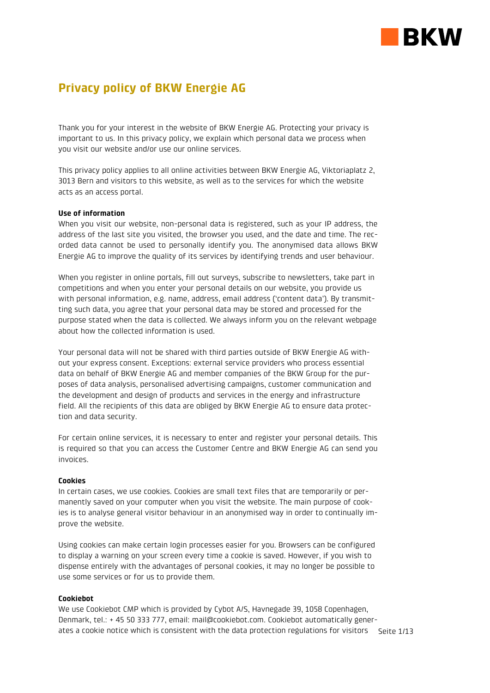

# **Privacy policy of BKW Energie AG**

Thank you for your interest in the website of BKW Energie AG. Protecting your privacy is important to us. In this privacy policy, we explain which personal data we process when you visit our website and/or use our online services.

This privacy policy applies to all online activities between BKW Energie AG, Viktoriaplatz 2, 3013 Bern and visitors to this website, as well as to the services for which the website acts as an access portal.

# **Use of information**

When you visit our website, non-personal data is registered, such as your IP address, the address of the last site you visited, the browser you used, and the date and time. The recorded data cannot be used to personally identify you. The anonymised data allows BKW Energie AG to improve the quality of its services by identifying trends and user behaviour.

When you register in online portals, fill out surveys, subscribe to newsletters, take part in competitions and when you enter your personal details on our website, you provide us with personal information, e.g. name, address, email address ('content data'). By transmitting such data, you agree that your personal data may be stored and processed for the purpose stated when the data is collected. We always inform you on the relevant webpage about how the collected information is used.

Your personal data will not be shared with third parties outside of BKW Energie AG without your express consent. Exceptions: external service providers who process essential data on behalf of BKW Energie AG and member companies of the BKW Group for the purposes of data analysis, personalised advertising campaigns, customer communication and the development and design of products and services in the energy and infrastructure field. All the recipients of this data are obliged by BKW Energie AG to ensure data protection and data security.

For certain online services, it is necessary to enter and register your personal details. This is required so that you can access the Customer Centre and BKW Energie AG can send you invoices.

# **Cookies**

In certain cases, we use cookies. Cookies are small text files that are temporarily or permanently saved on your computer when you visit the website. The main purpose of cookies is to analyse general visitor behaviour in an anonymised way in order to continually improve the website.

Using cookies can make certain login processes easier for you. Browsers can be configured to display a warning on your screen every time a cookie is saved. However, if you wish to dispense entirely with the advantages of personal cookies, it may no longer be possible to use some services or for us to provide them.

# **Cookiebot**

ates a cookie notice which is consistent with the data protection regulations for visitors  $\;$  Seite 1/13  $\;$ We use Cookiebot CMP which is provided by Cybot A/S, Havnegade 39, 1058 Copenhagen, Denmark, tel.: + 45 50 333 777, email: [mail@cookiebot.com.](mailto:mail@cookiebot.com) Cookiebot automatically gener-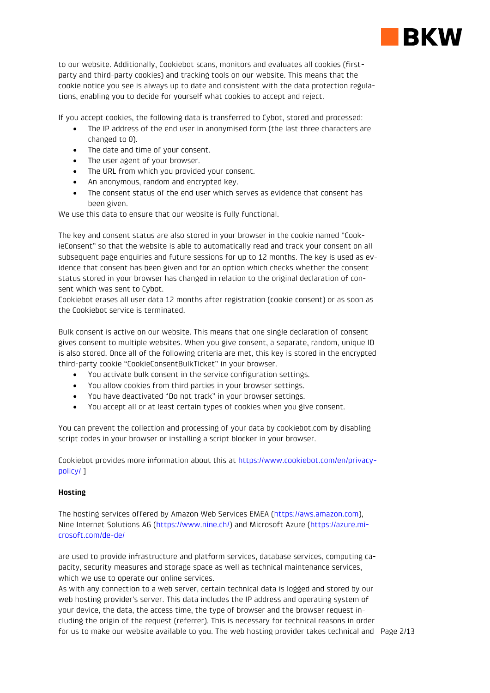

to our website. Additionally, Cookiebot scans, monitors and evaluates all cookies (firstparty and third-party cookies) and tracking tools on our website. This means that the cookie notice you see is always up to date and consistent with the data protection regulations, enabling you to decide for yourself what cookies to accept and reject.

If you accept cookies, the following data is transferred to Cybot, stored and processed:

- The IP address of the end user in anonymised form (the last three characters are changed to 0).
- The date and time of your consent.
- The user agent of your browser.
- The URL from which you provided your consent.
- An anonymous, random and encrypted key.
- The consent status of the end user which serves as evidence that consent has been given.

We use this data to ensure that our website is fully functional.

The key and consent status are also stored in your browser in the cookie named "CookieConsent" so that the website is able to automatically read and track your consent on all subsequent page enquiries and future sessions for up to 12 months. The key is used as evidence that consent has been given and for an option which checks whether the consent status stored in your browser has changed in relation to the original declaration of consent which was sent to Cybot.

Cookiebot erases all user data 12 months after registration (cookie consent) or as soon as the Cookiebot service is terminated.

Bulk consent is active on our website. This means that one single declaration of consent gives consent to multiple websites. When you give consent, a separate, random, unique ID is also stored. Once all of the following criteria are met, this key is stored in the encrypted third-party cookie "CookieConsentBulkTicket" in your browser.

- You activate bulk consent in the service configuration settings.
- You allow cookies from third parties in your browser settings.
- You have deactivated "Do not track" in your browser settings.
- You accept all or at least certain types of cookies when you give consent.

You can prevent the collection and processing of your data by cookiebot.com by disabling script codes in your browser or installing a script blocker in your browser.

Cookiebot provides more information about this at [https://www.cookiebot.com/en/privacy](https://www.cookiebot.com/de/privacy-policy/)[policy/](https://www.cookiebot.com/de/privacy-policy/) ]

# **Hosting**

The hosting services offered by Amazon Web Services EMEA [\(https://aws.amazon.com\)](https://aws.amazon.com/de/), Nine Internet Solutions AG [\(https://www.nine.ch/\)](https://www.nine.ch/) and Microsoft Azure [\(https://azure.mi](https://azure.microsoft.com/de-de/)[crosoft.com/de-de/](https://azure.microsoft.com/de-de/)

are used to provide infrastructure and platform services, database services, computing capacity, security measures and storage space as well as technical maintenance services, which we use to operate our online services.

for us to make our website available to you. The web hosting provider takes technical and Page 2/13 As with any connection to a web server, certain technical data is logged and stored by our web hosting provider's server. This data includes the IP address and operating system of your device, the data, the access time, the type of browser and the browser request including the origin of the request (referrer). This is necessary for technical reasons in order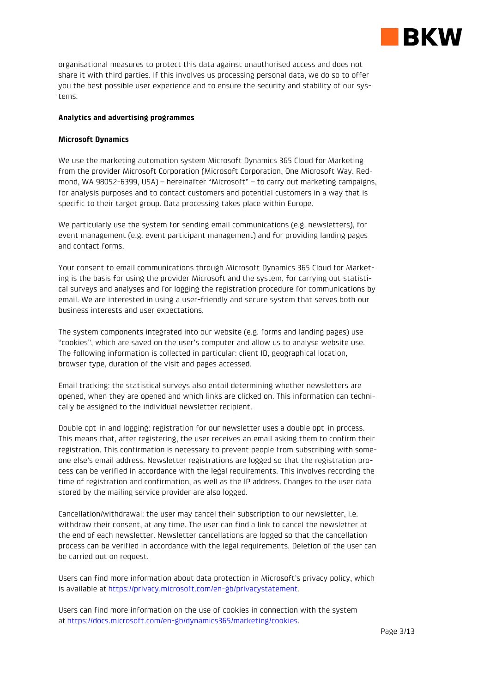

organisational measures to protect this data against unauthorised access and does not share it with third parties. If this involves us processing personal data, we do so to offer you the best possible user experience and to ensure the security and stability of our systems.

# **Analytics and advertising programmes**

# **Microsoft Dynamics**

We use the marketing automation system Microsoft Dynamics 365 Cloud for Marketing from the provider Microsoft Corporation (Microsoft Corporation, One Microsoft Way, Redmond, WA 98052-6399, USA) – hereinafter "Microsoft" – to carry out marketing campaigns, for analysis purposes and to contact customers and potential customers in a way that is specific to their target group. Data processing takes place within Europe.

We particularly use the system for sending email communications (e.g. newsletters), for event management (e.g. event participant management) and for providing landing pages and contact forms.

Your consent to email communications through Microsoft Dynamics 365 Cloud for Marketing is the basis for using the provider Microsoft and the system, for carrying out statistical surveys and analyses and for logging the registration procedure for communications by email. We are interested in using a user-friendly and secure system that serves both our business interests and user expectations.

The system components integrated into our website (e.g. forms and landing pages) use "cookies", which are saved on the user's computer and allow us to analyse website use. The following information is collected in particular: client ID, geographical location, browser type, duration of the visit and pages accessed.

Email tracking: the statistical surveys also entail determining whether newsletters are opened, when they are opened and which links are clicked on. This information can technically be assigned to the individual newsletter recipient.

Double opt-in and logging: registration for our newsletter uses a double opt-in process. This means that, after registering, the user receives an email asking them to confirm their registration. This confirmation is necessary to prevent people from subscribing with someone else's email address. Newsletter registrations are logged so that the registration process can be verified in accordance with the legal requirements. This involves recording the time of registration and confirmation, as well as the IP address. Changes to the user data stored by the mailing service provider are also logged.

Cancellation/withdrawal: the user may cancel their subscription to our newsletter, i.e. withdraw their consent, at any time. The user can find a link to cancel the newsletter at the end of each newsletter. Newsletter cancellations are logged so that the cancellation process can be verified in accordance with the legal requirements. Deletion of the user can be carried out on request.

Users can find more information about data protection in Microsoft's privacy policy, which is available at [https://privacy.microsoft.com/en-gb/privacystatement.](https://privacy.microsoft.com/en-gb/privacystatement)

Users can find more information on the use of cookies in connection with the system at [https://docs.microsoft.com/en-gb/dynamics365/marketing/cookies.](https://docs.microsoft.com/en-gb/dynamics365/marketing/cookies)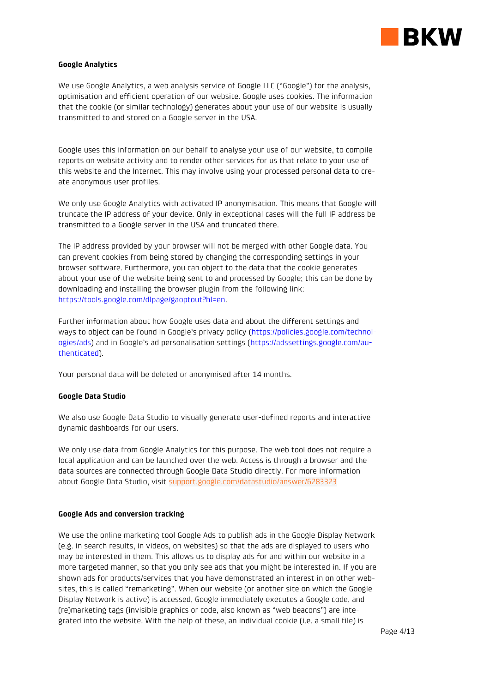

# **Google Analytics**

We use Google Analytics, a web analysis service of Google LLC ("Google") for the analysis, optimisation and efficient operation of our website. Google uses cookies. The information that the cookie (or similar technology) generates about your use of our website is usually transmitted to and stored on a Google server in the USA.

Google uses this information on our behalf to analyse your use of our website, to compile reports on website activity and to render other services for us that relate to your use of this website and the Internet. This may involve using your processed personal data to create anonymous user profiles.

We only use Google Analytics with activated IP anonymisation. This means that Google will truncate the IP address of your device. Only in exceptional cases will the full IP address be transmitted to a Google server in the USA and truncated there.

The IP address provided by your browser will not be merged with other Google data. You can prevent cookies from being stored by changing the corresponding settings in your browser software. Furthermore, you can object to the data that the cookie generates about your use of the website being sent to and processed by Google; this can be done by downloading and installing the browser plugin from the following link: [https://tools.google.com/dlpage/gaoptout?hl=en.](http://tools.google.com/dlpage/gaoptout?hl=de)

Further information about how Google uses data and about the different settings and ways to object can be found in Google's privacy policy [\(https://policies.google.com/technol](https://policies.google.com/technologies/ads)[ogies/ads](https://policies.google.com/technologies/ads)) and in Google's ad personalisation settings ([https://adssettings.google.com/au](https://adssettings.google.com/authenticated)[thenticated\)](https://adssettings.google.com/authenticated).

Your personal data will be deleted or anonymised after 14 months.

# **Google Data Studio**

We also use Google Data Studio to visually generate user-defined reports and interactive dynamic dashboards for our users.

We only use data from Google Analytics for this purpose. The web tool does not require a local application and can be launched over the web. Access is through a browser and the data sources are connected through Google Data Studio directly. For more information about Google Data Studio, visit [support.google.com/datastudio/answer/6283323](https://support.google.com/datastudio/answer/6283323?hl=de)

# **Google Ads and conversion tracking**

We use the online marketing tool Google Ads to publish ads in the Google Display Network (e.g. in search results, in videos, on websites) so that the ads are displayed to users who may be interested in them. This allows us to display ads for and within our website in a more targeted manner, so that you only see ads that you might be interested in. If you are shown ads for products/services that you have demonstrated an interest in on other websites, this is called "remarketing". When our website (or another site on which the Google Display Network is active) is accessed, Google immediately executes a Google code, and (re)marketing tags (invisible graphics or code, also known as "web beacons") are integrated into the website. With the help of these, an individual cookie (i.e. a small file) is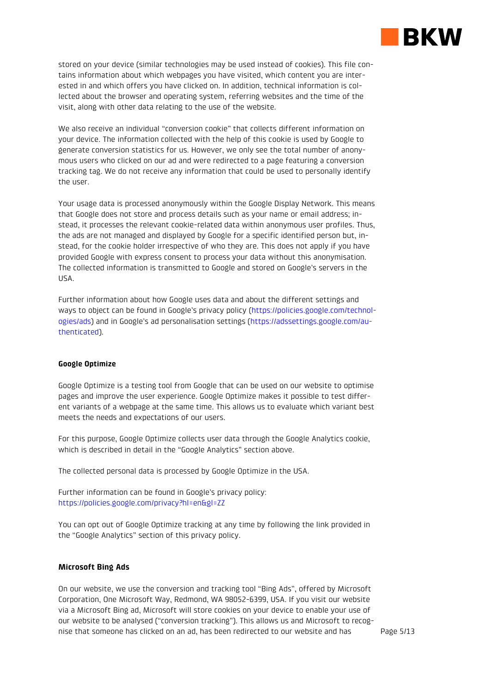

stored on your device (similar technologies may be used instead of cookies). This file contains information about which webpages you have visited, which content you are interested in and which offers you have clicked on. In addition, technical information is collected about the browser and operating system, referring websites and the time of the visit, along with other data relating to the use of the website.

We also receive an individual "conversion cookie" that collects different information on your device. The information collected with the help of this cookie is used by Google to generate conversion statistics for us. However, we only see the total number of anonymous users who clicked on our ad and were redirected to a page featuring a conversion tracking tag. We do not receive any information that could be used to personally identify the user.

Your usage data is processed anonymously within the Google Display Network. This means that Google does not store and process details such as your name or email address; instead, it processes the relevant cookie-related data within anonymous user profiles. Thus, the ads are not managed and displayed by Google for a specific identified person but, instead, for the cookie holder irrespective of who they are. This does not apply if you have provided Google with express consent to process your data without this anonymisation. The collected information is transmitted to Google and stored on Google's servers in the USA.

Further information about how Google uses data and about the different settings and ways to object can be found in Google's privacy policy [\(https://policies.google.com/technol](https://policies.google.com/technologies/ads)[ogies/ads](https://policies.google.com/technologies/ads)) and in Google's ad personalisation settings ([https://adssettings.google.com/au](https://adssettings.google.com/authenticated)[thenticated\)](https://adssettings.google.com/authenticated).

### **Google Optimize**

Google Optimize is a testing tool from Google that can be used on our website to optimise pages and improve the user experience. Google Optimize makes it possible to test different variants of a webpage at the same time. This allows us to evaluate which variant best meets the needs and expectations of our users.

For this purpose, Google Optimize collects user data through the Google Analytics cookie, which is described in detail in the "Google Analytics" section above.

The collected personal data is processed by Google Optimize in the USA.

Further information can be found in Google's privacy policy: [https://policies.google.com/privacy?hl=en&gl=ZZ](https://www.google.com/intl/de/policies/privacy/)

You can opt out of Google Optimize tracking at any time by following the link provided in the "Google Analytics" section of this privacy policy.

# **Microsoft Bing Ads**

On our website, we use the conversion and tracking tool "Bing Ads", offered by Microsoft Corporation, One Microsoft Way, Redmond, WA 98052-6399, USA. If you visit our website via a Microsoft Bing ad, Microsoft will store cookies on your device to enable your use of our website to be analysed ("conversion tracking"). This allows us and Microsoft to recognise that someone has clicked on an ad, has been redirected to our website and has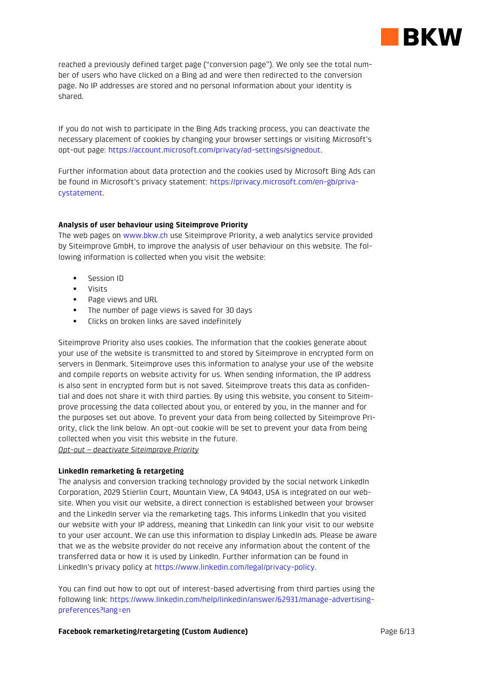

reached a previously defined target page ("conversion page"). We only see the total number of users who have clicked on a Bing ad and were then redirected to the conversion page. No IP addresses are stored and no personal information about your identity is shared.

If you do not wish to participate in the Bing Ads tracking process, you can deactivate the necessary placement of cookies by changing your browser settings or visiting Microsoft's opt-out page: [https://account.microsoft.com/privacy/ad-settings/signedout.](http://choice.microsoft.com/de-DE/opt-out)

Further information about data protection and the cookies used by Microsoft Bing Ads can be found in Microsoft's privacy statement: [https://privacy.microsoft.com/en-gb/priva](https://privacy.microsoft.com/de-de/privacystatement)[cystatement.](https://privacy.microsoft.com/de-de/privacystatement)

# **Analysis of user behaviour using Siteimprove Priority**

The web pages o[n www.bkw.ch](http://www.bkw.ch/) use Siteimprove Priority, a web analytics service provided by Siteimprove GmbH, to improve the analysis of user behaviour on this website. The following information is collected when you visit the website:

- Session ID
- Visits
- Page views and URL
- **.** The number of page views is saved for 30 days
- **.** Clicks on broken links are saved indefinitely

Siteimprove Priority also uses cookies. The information that the cookies generate about your use of the website is transmitted to and stored by Siteimprove in encrypted form on servers in Denmark. Siteimprove uses this information to analyse your use of the website and compile reports on website activity for us. When sending information, the IP address is also sent in encrypted form but is not saved. Siteimprove treats this data as confidential and does not share it with third parties. By using this website, you consent to Siteimprove processing the data collected about you, or entered by you, in the manner and for the purposes set out above. To prevent your data from being collected by Siteimprove Priority, click the link below. An opt-out cookie will be set to prevent your data from being collected when you visit this website in the future. *Opt-out – deactivate Siteimprove Priority*

# **LinkedIn remarketing & retargeting**

The analysis and conversion tracking technology provided by the social network LinkedIn Corporation, 2029 Stierlin Court, Mountain View, CA 94043, USA is integrated on our website. When you visit our website, a direct connection is established between your browser and the LinkedIn server via the remarketing tags. This informs LinkedIn that you visited our website with your IP address, meaning that LinkedIn can link your visit to our website to your user account. We can use this information to display LinkedIn ads. Please be aware that we as the website provider do not receive any information about the content of the transferred data or how it is used by LinkedIn. Further information can be found in LinkedIn's privacy policy at [https://www.linkedin.com/legal/privacy-policy.](https://www.linkedin.com/legal/privacy-policy)

You can find out how to opt out of interest-based advertising from third parties using the following link: [https://www.linkedin.com/help/linkedin/answer/62931/manage-advertising](https://www.linkedin.com/help/linkedin/answer/62931/manage-advertising-preferences?lang=de)[preferences?lang=en](https://www.linkedin.com/help/linkedin/answer/62931/manage-advertising-preferences?lang=de)

### **Facebook remarketing/retargeting (Custom Audience)**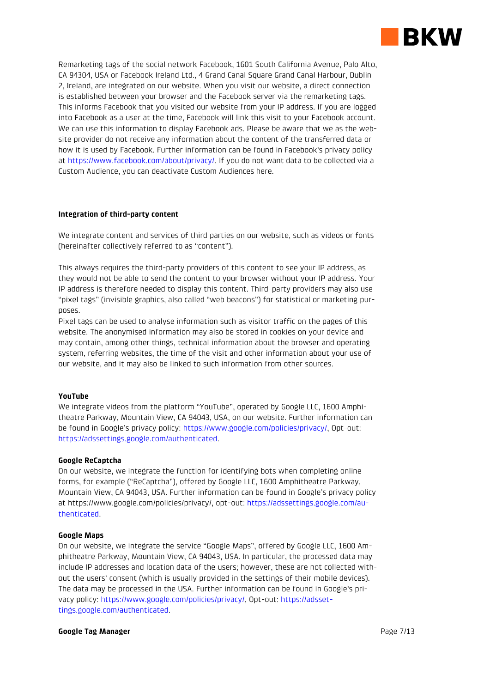

Remarketing tags of the social network Facebook, 1601 South California Avenue, Palo Alto, CA 94304, USA or Facebook Ireland Ltd., 4 Grand Canal Square Grand Canal Harbour, Dublin 2, Ireland, are integrated on our website. When you visit our website, a direct connection is established between your browser and the Facebook server via the remarketing tags. This informs Facebook that you visited our website from your IP address. If you are logged into Facebook as a user at the time, Facebook will link this visit to your Facebook account. We can use this information to display Facebook ads. Please be aware that we as the website provider do not receive any information about the content of the transferred data or how it is used by Facebook. Further information can be found in Facebook's privacy policy at [https://www.facebook.com/about/privacy/.](https://www.facebook.com/about/privacy/) If you do not want data to be collected via a Custom Audience, you can [deactivate](https://www.facebook.com/ads/website_custom_audiences/) Custom Audiences here.

# **Integration of third-party content**

We integrate content and services of third parties on our website, such as videos or fonts (hereinafter collectively referred to as "content").

This always requires the third-party providers of this content to see your IP address, as they would not be able to send the content to your browser without your IP address. Your IP address is therefore needed to display this content. Third-party providers may also use "pixel tags" (invisible graphics, also called "web beacons") for statistical or marketing purposes.

Pixel tags can be used to analyse information such as visitor traffic on the pages of this website. The anonymised information may also be stored in cookies on your device and may contain, among other things, technical information about the browser and operating system, referring websites, the time of the visit and other information about your use of our website, and it may also be linked to such information from other sources.

# **YouTube**

We integrate videos from the platform "YouTube", operated by Google LLC, 1600 Amphitheatre Parkway, Mountain View, CA 94043, USA, on our website. Further information can be found in Google's privacy policy: [https://www.google.com/policies/privacy/,](https://www.google.com/policies/privacy/) Opt-out: [https://adssettings.google.com/authenticated.](https://adssettings.google.com/authenticated)

### **Google ReCaptcha**

On our website, we integrate the function for identifying bots when completing online forms, for example ("ReCaptcha"), offered by Google LLC, 1600 Amphitheatre Parkway, Mountain View, CA 94043, USA. Further information can be found in Google's privacy policy at https://www.google.com/policies/privacy/, opt-out: [https://adssettings.google.com/au](https://adssettings.google.com/authenticated)[thenticated.](https://adssettings.google.com/authenticated)

### **Google Maps**

On our website, we integrate the service "Google Maps", offered by Google LLC, 1600 Amphitheatre Parkway, Mountain View, CA 94043, USA. In particular, the processed data may include IP addresses and location data of the users; however, these are not collected without the users' consent (which is usually provided in the settings of their mobile devices). The data may be processed in the USA. Further information can be found in Google's privacy policy: [https://www.google.com/policies/privacy/,](https://www.google.com/policies/privacy/) Opt-out: [https://adsset](https://adssettings.google.com/authenticated)[tings.google.com/authenticated.](https://adssettings.google.com/authenticated)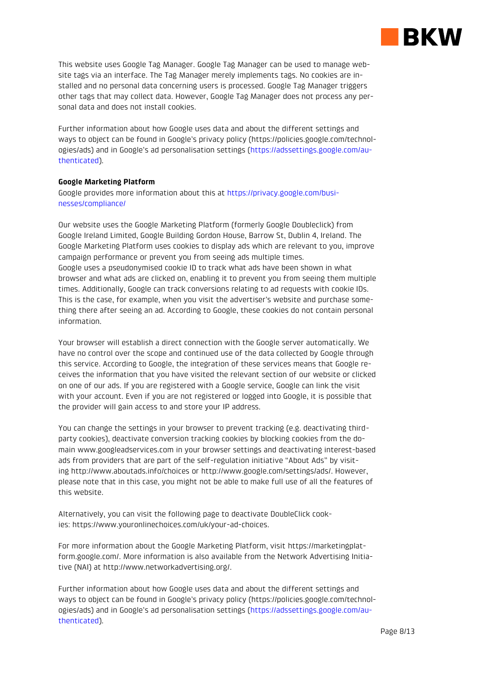

This website uses Google Tag Manager. Google Tag Manager can be used to manage website tags via an interface. The Tag Manager merely implements tags. No cookies are installed and no personal data concerning users is processed. Google Tag Manager triggers other tags that may collect data. However, Google Tag Manager does not process any personal data and does not install cookies.

Further information about how Google uses data and about the different settings and ways to object can be found in Google's privacy policy (https://policies.google.com/technologies/ads) and in Google's ad personalisation settings ([https://adssettings.google.com/au](https://adssettings.google.com/authenticated)[thenticated\)](https://adssettings.google.com/authenticated).

# **Google Marketing Platform**

Google provides more information about this at [https://privacy.google.com/busi](https://privacy.google.com/businesses/compliance/)[nesses/compliance/](https://privacy.google.com/businesses/compliance/)

Our website uses the Google Marketing Platform (formerly Google Doubleclick) from Google Ireland Limited, Google Building Gordon House, Barrow St, Dublin 4, Ireland. The Google Marketing Platform uses cookies to display ads which are relevant to you, improve campaign performance or prevent you from seeing ads multiple times. Google uses a pseudonymised cookie ID to track what ads have been shown in what browser and what ads are clicked on, enabling it to prevent you from seeing them multiple times. Additionally, Google can track conversions relating to ad requests with cookie IDs. This is the case, for example, when you visit the advertiser's website and purchase something there after seeing an ad. According to Google, these cookies do not contain personal information.

Your browser will establish a direct connection with the Google server automatically. We have no control over the scope and continued use of the data collected by Google through this service. According to Google, the integration of these services means that Google receives the information that you have visited the relevant section of our website or clicked on one of our ads. If you are registered with a Google service, Google can link the visit with your account. Even if you are not registered or logged into Google, it is possible that the provider will gain access to and store your IP address.

You can change the settings in your browser to prevent tracking (e.g. deactivating thirdparty cookies), deactivate conversion tracking cookies by blocking cookies from the domain www.googleadservices.com in your browser settings and deactivating interest-based ads from providers that are part of the self-regulation initiative "About Ads" by visiting <http://www.aboutads.info/choices> or [http://www.google.com/settings/ads/.](http://www.google.com/settings/ads/) However, please note that in this case, you might not be able to make full use of all the features of this website.

Alternatively, you can visit the following page to deactivate DoubleClick cookies: [https://www.youronlinechoices.com/uk/your-ad-choices.](http://www.youronlinechoices.com/de/praferenzmanagement/)

For more information about the Google Marketing Platform, visit [https://marketingplat](https://marketingplatform.google.com/)[form.google.com/.](https://marketingplatform.google.com/) More information is also available from the Network Advertising Initiative (NAI) at [http://www.networkadvertising.org/.](http://www.networkadvertising.org/)

Further information about how Google uses data and about the different settings and ways to object can be found in Google's privacy policy (https://policies.google.com/technologies/ads) and in Google's ad personalisation settings ([https://adssettings.google.com/au](https://adssettings.google.com/authenticated)[thenticated\)](https://adssettings.google.com/authenticated).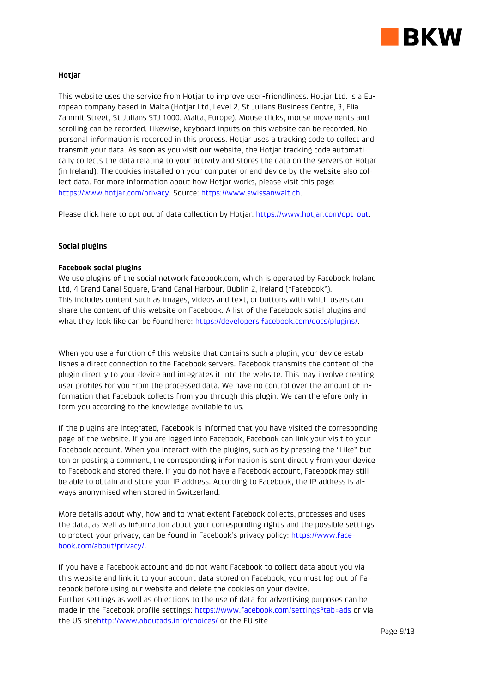

# **Hotjar**

This website uses the service from Hotjar to improve user-friendliness. Hotjar Ltd. is a European company based in Malta (Hotjar Ltd, Level 2, St Julians Business Centre, 3, Elia Zammit Street, St Julians STJ 1000, Malta, Europe). Mouse clicks, mouse movements and scrolling can be recorded. Likewise, keyboard inputs on this website can be recorded. No personal information is recorded in this process. Hotjar uses a tracking code to collect and transmit your data. As soon as you visit our website, the Hotjar tracking code automatically collects the data relating to your activity and stores the data on the servers of Hotjar (in Ireland). The cookies installed on your computer or end device by the website also collect data. For more information about how Hotjar works, please visit this page: [https://www.hotjar.com/privacy.](https://www.hotjar.com/privacy) Source: [https://www.swissanwalt.ch.](https://www.swissanwalt.ch/)

Please click here to opt out of data collection by Hotjar: [https://www.hotjar.com/opt-out.](https://www.hotjar.com/opt-out)

## **Social plugins**

## **Facebook social plugins**

We use plugins of the social network facebook.com, which is operated by Facebook Ireland Ltd, 4 Grand Canal Square, Grand Canal Harbour, Dublin 2, Ireland ("Facebook"). This includes content such as images, videos and text, or buttons with which users can share the content of this website on Facebook. A list of the Facebook social plugins and what they look like can be found here: [https://developers.facebook.com/docs/plugins/.](https://developers.facebook.com/docs/plugins/)

When you use a function of this website that contains such a plugin, your device establishes a direct connection to the Facebook servers. Facebook transmits the content of the plugin directly to your device and integrates it into the website. This may involve creating user profiles for you from the processed data. We have no control over the amount of information that Facebook collects from you through this plugin. We can therefore only inform you according to the knowledge available to us.

If the plugins are integrated, Facebook is informed that you have visited the corresponding page of the website. If you are logged into Facebook, Facebook can link your visit to your Facebook account. When you interact with the plugins, such as by pressing the "Like" button or posting a comment, the corresponding information is sent directly from your device to Facebook and stored there. If you do not have a Facebook account, Facebook may still be able to obtain and store your IP address. According to Facebook, the IP address is always anonymised when stored in Switzerland.

More details about why, how and to what extent Facebook collects, processes and uses the data, as well as information about your corresponding rights and the possible settings to protect your privacy, can be found in Facebook's privacy policy: [https://www.face](https://www.facebook.com/about/privacy/)[book.com/about/privacy/.](https://www.facebook.com/about/privacy/)

If you have a Facebook account and do not want Facebook to collect data about you via this website and link it to your account data stored on Facebook, you must log out of Facebook before using our website and delete the cookies on your device. Further settings as well as objections to the use of data for advertising purposes can be made in the Facebook profile settings:<https://www.facebook.com/settings?tab=ads> or via the US sit[ehttp://www.aboutads.info/choices/](http://www.aboutads.info/choices/) or the EU site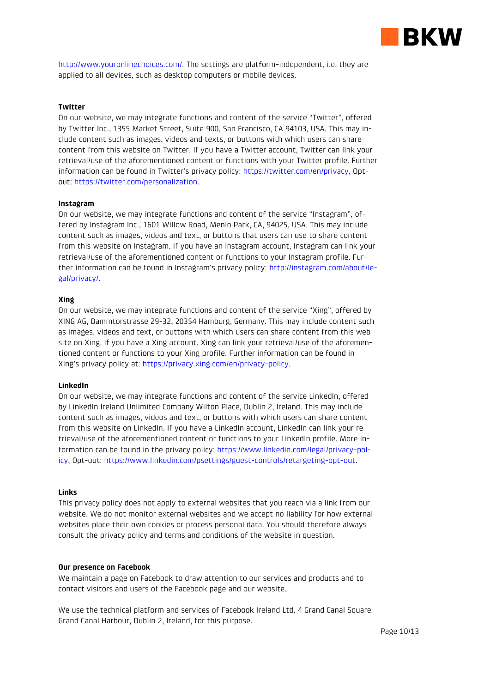

[http://www.youronlinechoices.com/.](http://www.youronlinechoices.com/) The settings are platform-independent, i.e. they are applied to all devices, such as desktop computers or mobile devices.

# **Twitter**

On our website, we may integrate functions and content of the service "Twitter", offered by Twitter Inc., 1355 Market Street, Suite 900, San Francisco, CA 94103, USA. This may include content such as images, videos and texts, or buttons with which users can share content from this website on Twitter. If you have a Twitter account, Twitter can link your retrieval/use of the aforementioned content or functions with your Twitter profile. Further information can be found in Twitter's privacy policy: [https://twitter.com/en/privacy,](https://twitter.com/de/privacy) Optout: [https://twitter.com/personalization.](https://twitter.com/personalization)

## **Instagram**

On our website, we may integrate functions and content of the service "Instagram", offered by Instagram Inc., 1601 Willow Road, Menlo Park, CA, 94025, USA. This may include content such as images, videos and text, or buttons that users can use to share content from this website on Instagram. If you have an Instagram account, Instagram can link your retrieval/use of the aforementioned content or functions to your Instagram profile. Further information can be found in Instagram's privacy policy: [http://instagram.com/about/le](http://instagram.com/about/legal/privacy/)[gal/privacy/.](http://instagram.com/about/legal/privacy/)

## **Xing**

On our website, we may integrate functions and content of the service "Xing", offered by XING AG, Dammtorstrasse 29-32, 20354 Hamburg, Germany. This may include content such as images, videos and text, or buttons with which users can share content from this website on Xing. If you have a Xing account, Xing can link your retrieval/use of the aforementioned content or functions to your Xing profile. Further information can be found in Xing's privacy policy at: [https://privacy.xing.com/en/privacy-policy.](https://privacy.xing.com/de/datenschutzerklaerung)

### **LinkedIn**

On our website, we may integrate functions and content of the service LinkedIn, offered by LinkedIn Ireland Unlimited Company Wilton Place, Dublin 2, Ireland. This may include content such as images, videos and text, or buttons with which users can share content from this website on LinkedIn. If you have a LinkedIn account, LinkedIn can link your retrieval/use of the aforementioned content or functions to your LinkedIn profile. More information can be found in the privacy policy: [https://www.linkedin.com/legal/privacy-pol](https://www.linkedin.com/legal/privacy-policy)[icy,](https://www.linkedin.com/legal/privacy-policy) Opt-out: [https://www.linkedin.com/psettings/guest-controls/retargeting-opt-out.](https://www.linkedin.com/psettings/guest-controls/retargeting-opt-out)

# **Links**

This privacy policy does not apply to external websites that you reach via a link from our website. We do not monitor external websites and we accept no liability for how external websites place their own cookies or process personal data. You should therefore always consult the privacy policy and terms and conditions of the website in question.

### **Our presence on Facebook**

We maintain a page on Facebook to draw attention to our services and products and to contact visitors and users of the Facebook page and our website.

We use the technical platform and services of Facebook Ireland Ltd, 4 Grand Canal Square Grand Canal Harbour, Dublin 2, Ireland, for this purpose.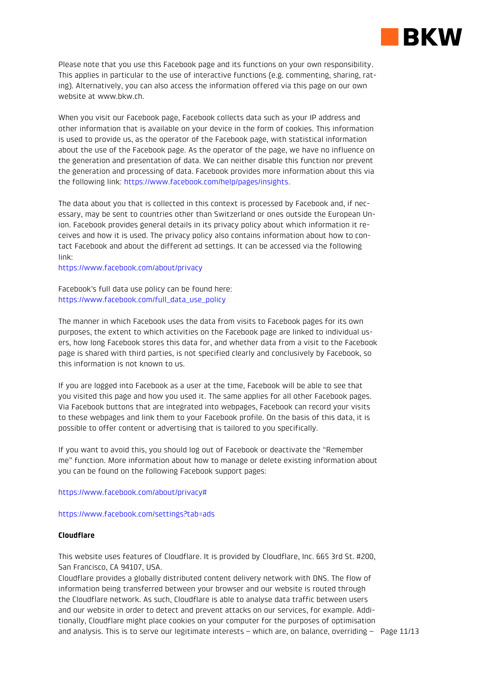

Please note that you use this Facebook page and its functions on your own responsibility. This applies in particular to the use of interactive functions (e.g. commenting, sharing, rating). Alternatively, you can also access the information offered via this page on our own website at www.bkw.ch.

When you visit our Facebook page, Facebook collects data such as your IP address and other information that is available on your device in the form of cookies. This information is used to provide us, as the operator of the Facebook page, with statistical information about the use of the Facebook page. As the operator of the page, we have no influence on the generation and presentation of data. We can neither disable this function nor prevent the generation and processing of data. Facebook provides more information about this via the following link[: https://www.facebook.com/help/pages/insights.](http://de-de.facebook.com/help/pages/insights)

The data about you that is collected in this context is processed by Facebook and, if necessary, may be sent to countries other than Switzerland or ones outside the European Union. Facebook provides general details in its privacy policy about which information it receives and how it is used. The privacy policy also contains information about how to contact Facebook and about the different ad settings. It can be accessed via the following link:

[https://www.facebook.com/about/privacy](http://de-de.facebook.com/about/privacy)

Facebook's full data use policy can be found here: [https://www.facebook.com/full\\_data\\_use\\_policy](https://de-de.facebook.com/full_data_use_policy)

The manner in which Facebook uses the data from visits to Facebook pages for its own purposes, the extent to which activities on the Facebook page are linked to individual users, how long Facebook stores this data for, and whether data from a visit to the Facebook page is shared with third parties, is not specified clearly and conclusively by Facebook, so this information is not known to us.

If you are logged into Facebook as a user at the time, Facebook will be able to see that you visited this page and how you used it. The same applies for all other Facebook pages. Via Facebook buttons that are integrated into webpages, Facebook can record your visits to these webpages and link them to your Facebook profile. On the basis of this data, it is possible to offer content or advertising that is tailored to you specifically.

If you want to avoid this, you should log out of Facebook or deactivate the "Remember me" function. More information about how to manage or delete existing information about you can be found on the following Facebook support pages:

[https://www.facebook.com/about/privacy#](https://de-de.facebook.com/about/privacy)

<https://www.facebook.com/settings?tab=ads>

# **Cloudflare**

This website uses features of Cloudflare. It is provided by Cloudflare, Inc. 665 3rd St. #200, San Francisco, CA 94107, USA.

and analysis. This is to serve our legitimate interests – which are, on balance, overriding – Page 11/13 Cloudflare provides a globally distributed content delivery network with DNS. The flow of information being transferred between your browser and our website is routed through the Cloudflare network. As such, Cloudflare is able to analyse data traffic between users and our website in order to detect and prevent attacks on our services, for example. Additionally, Cloudflare might place cookies on your computer for the purposes of optimisation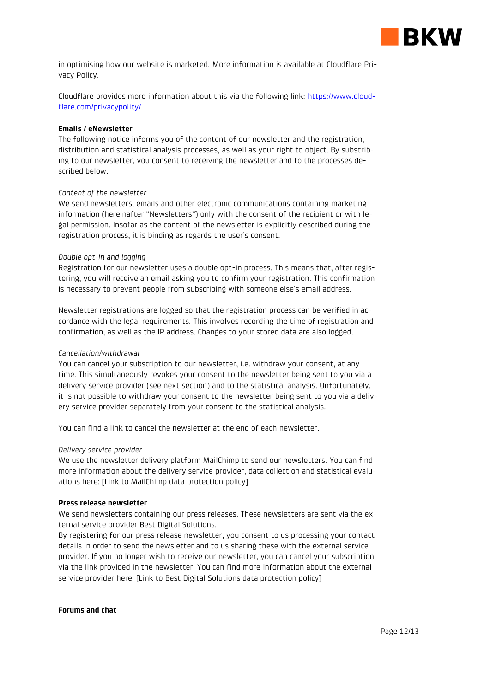

in optimising how our website is marketed. More information is available at [Cloudflare Pri](https://www.cloudflare.com/security-policy)[vacy Policy.](https://www.cloudflare.com/security-policy)

Cloudflare provides more information about this via the following link: [https://www.cloud](https://www.cloudflare.com/privacypolicy/)[flare.com/privacypolicy/](https://www.cloudflare.com/privacypolicy/)

## **Emails / eNewsletter**

The following notice informs you of the content of our newsletter and the registration, distribution and statistical analysis processes, as well as your right to object. By subscribing to our newsletter, you consent to receiving the newsletter and to the processes described below.

## *Content of the newsletter*

We send newsletters, emails and other electronic communications containing marketing information (hereinafter "Newsletters") only with the consent of the recipient or with legal permission. Insofar as the content of the newsletter is explicitly described during the registration process, it is binding as regards the user's consent.

## *Double opt-in and logging*

Registration for our newsletter uses a double opt-in process. This means that, after registering, you will receive an email asking you to confirm your registration. This confirmation is necessary to prevent people from subscribing with someone else's email address.

Newsletter registrations are logged so that the registration process can be verified in accordance with the legal requirements. This involves recording the time of registration and confirmation, as well as the IP address. Changes to your stored data are also logged.

# *Cancellation/withdrawal*

You can cancel your subscription to our newsletter, i.e. withdraw your consent, at any time. This simultaneously revokes your consent to the newsletter being sent to you via a delivery service provider (see next section) and to the statistical analysis. Unfortunately, it is not possible to withdraw your consent to the newsletter being sent to you via a delivery service provider separately from your consent to the statistical analysis.

You can find a link to cancel the newsletter at the end of each newsletter.

# *Delivery service provider*

We use the newsletter delivery platform MailChimp to send our newsletters. You can find more information about the delivery service provider, data collection and statistical evaluations here: [Link to MailChimp data protection policy]

### **Press release newsletter**

We send newsletters containing our press releases. These newsletters are sent via the external service provider Best Digital Solutions.

By registering for our press release newsletter, you consent to us processing your contact details in order to send the newsletter and to us sharing these with the external service provider. If you no longer wish to receive our newsletter, you can cancel your subscription via the link provided in the newsletter. You can find more information about the external service provider here: [Link to Best Digital Solutions data protection policy]